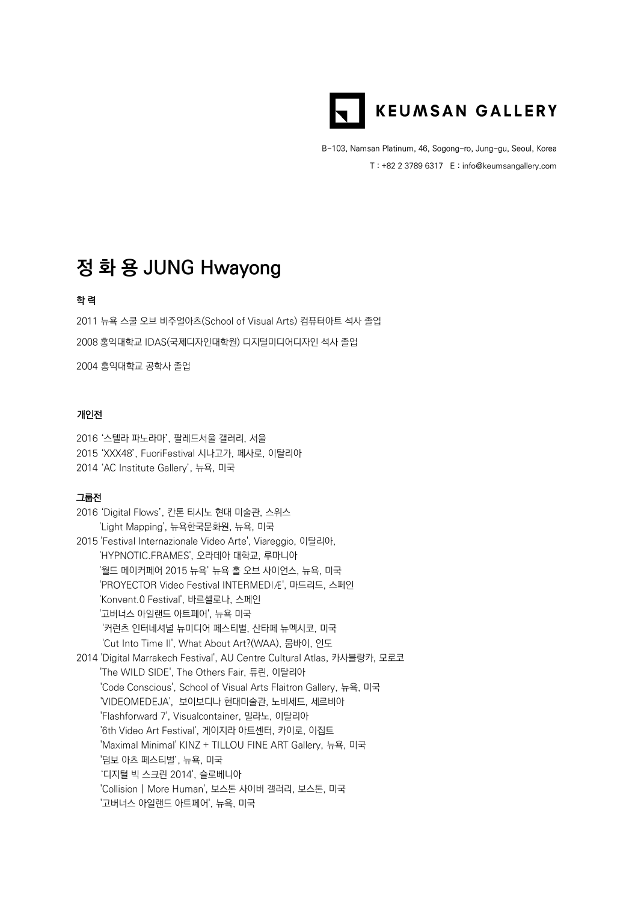

B-103, Namsan Platinum, 46, Sogong-ro, Jung-gu, Seoul, Korea T : +82 2 3789 6317 E : info@keumsangallery.com

# **정 화 용 JUNG Hwayong**

## 학 력

2011 뉴욕 스쿨 오브 비주얼아츠(School of Visual Arts) 컴퓨터아트 석사 졸업 2008 홍익대학교 IDAS(국제디자인대학원) 디지털미디어디자인 석사 졸업

2004 홍익대학교 공학사 졸업

### 개인전

2016 '스텔라 파노라마', 팔레드서울 갤러리, 서울 2015 'XXX48', FuoriFestival 시나고가, 페사로, 이탈리아 2014 'AC Institute Gallery', 뉴욕, 미국

#### 그룹전

| 2016 'Digital Flows', 칸톤 티시노 현대 미술관, 스위스                                |
|-------------------------------------------------------------------------|
| 'Light Mapping', 뉴욕한국문화원, 뉴욕, 미국                                        |
| 2015 'Festival Internazionale Video Arte', Viareggio, 이탈리아,             |
| 'HYPNOTIC.FRAMES', 오라데아 대학교, 루마니아                                       |
| '월드 메이커페어 2015 뉴욕' 뉴욕 홀 오브 사이언스, 뉴욕, 미국                                 |
| 'PROYECTOR Video Festival INTERMEDIÆ', 마드리드, 스페인                        |
| 'Konvent.0 Festival', 바르셀로나, 스페인                                        |
| '고버너스 아일랜드 아트페어', 뉴욕 미국                                                 |
| '커런츠 인터네셔널 뉴미디어 페스티벌, 산타페 뉴멕시코, 미국                                      |
| 'Cut Into Time II', What About Art?(WAA), 뭄바이, 인도                       |
| 2014 'Digital Marrakech Festival', AU Centre Cultural Atlas, 카사블랑카, 모로코 |
| 'The WILD SIDE', The Others Fair, 튜린, 이탈리아                              |
| 'Code Conscious', School of Visual Arts Flaitron Gallery, 뉴욕, 미국        |
| 'VIDEOMEDEJA', 보이보디나 현대미술관, 노비세드, 세르비아                                  |
| 'Flashforward 7', Visualcontainer, 밀라노, 이탈리아                            |
| '6th Video Art Festival', 게이지라 아트센터, 카이로, 이집트                           |
| 'Maximal Minimal' KINZ + TILLOU FINE ART Gallery, 뉴욕, 미국                |
| '덤보 아츠 페스티벌', 뉴욕, 미국                                                    |
| '디지털 빅 스크린 2014', 슬로베니아                                                 |
| 'Collision   More Human', 보스톤 사이버 갤러리, 보스톤, 미국                          |
| '고버너스 아일랜드 아트페어', 뉴욕, 미국                                                |
|                                                                         |